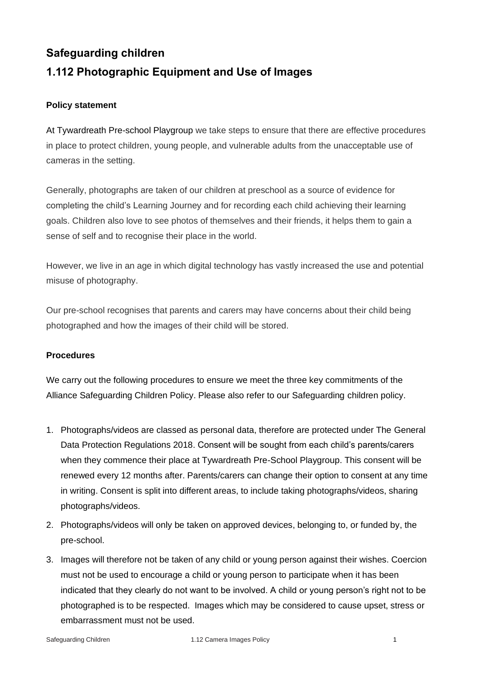# **Safeguarding children 1.112 Photographic Equipment and Use of Images**

## **Policy statement**

At Tywardreath Pre-school Playgroup we take steps to ensure that there are effective procedures in place to protect children, young people, and vulnerable adults from the unacceptable use of cameras in the setting.

Generally, photographs are taken of our children at preschool as a source of evidence for completing the child's Learning Journey and for recording each child achieving their learning goals. Children also love to see photos of themselves and their friends, it helps them to gain a sense of self and to recognise their place in the world.

However, we live in an age in which digital technology has vastly increased the use and potential misuse of photography.

Our pre-school recognises that parents and carers may have concerns about their child being photographed and how the images of their child will be stored.

#### **Procedures**

We carry out the following procedures to ensure we meet the three key commitments of the Alliance Safeguarding Children Policy. Please also refer to our Safeguarding children policy.

- 1. Photographs/videos are classed as personal data, therefore are protected under The General Data Protection Regulations 2018. Consent will be sought from each child's parents/carers when they commence their place at Tywardreath Pre-School Playgroup. This consent will be renewed every 12 months after. Parents/carers can change their option to consent at any time in writing. Consent is split into different areas, to include taking photographs/videos, sharing photographs/videos.
- 2. Photographs/videos will only be taken on approved devices, belonging to, or funded by, the pre-school.
- 3. Images will therefore not be taken of any child or young person against their wishes. Coercion must not be used to encourage a child or young person to participate when it has been indicated that they clearly do not want to be involved. A child or young person's right not to be photographed is to be respected. Images which may be considered to cause upset, stress or embarrassment must not be used.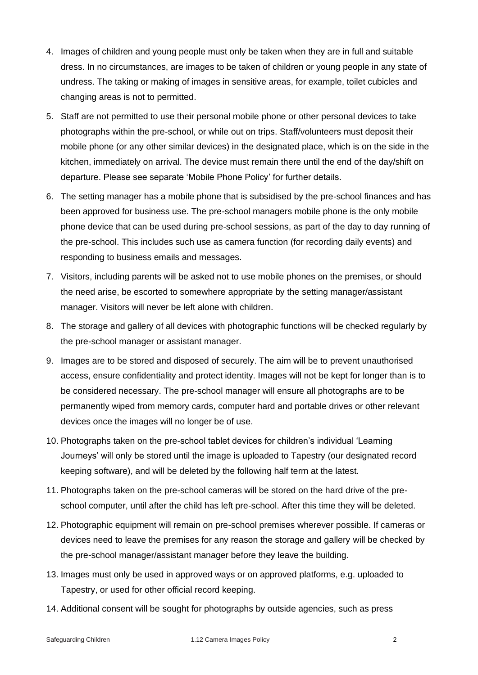- 4. Images of children and young people must only be taken when they are in full and suitable dress. In no circumstances, are images to be taken of children or young people in any state of undress. The taking or making of images in sensitive areas, for example, toilet cubicles and changing areas is not to permitted.
- 5. Staff are not permitted to use their personal mobile phone or other personal devices to take photographs within the pre-school, or while out on trips. Staff/volunteers must deposit their mobile phone (or any other similar devices) in the designated place, which is on the side in the kitchen, immediately on arrival. The device must remain there until the end of the day/shift on departure. Please see separate 'Mobile Phone Policy' for further details.
- 6. The setting manager has a mobile phone that is subsidised by the pre-school finances and has been approved for business use. The pre-school managers mobile phone is the only mobile phone device that can be used during pre-school sessions, as part of the day to day running of the pre-school. This includes such use as camera function (for recording daily events) and responding to business emails and messages.
- 7. Visitors, including parents will be asked not to use mobile phones on the premises, or should the need arise, be escorted to somewhere appropriate by the setting manager/assistant manager. Visitors will never be left alone with children.
- 8. The storage and gallery of all devices with photographic functions will be checked regularly by the pre-school manager or assistant manager.
- 9. Images are to be stored and disposed of securely. The aim will be to prevent unauthorised access, ensure confidentiality and protect identity. Images will not be kept for longer than is to be considered necessary. The pre-school manager will ensure all photographs are to be permanently wiped from memory cards, computer hard and portable drives or other relevant devices once the images will no longer be of use.
- 10. Photographs taken on the pre-school tablet devices for children's individual 'Learning Journeys' will only be stored until the image is uploaded to Tapestry (our designated record keeping software), and will be deleted by the following half term at the latest.
- 11. Photographs taken on the pre-school cameras will be stored on the hard drive of the preschool computer, until after the child has left pre-school. After this time they will be deleted.
- 12. Photographic equipment will remain on pre-school premises wherever possible. If cameras or devices need to leave the premises for any reason the storage and gallery will be checked by the pre-school manager/assistant manager before they leave the building.
- 13. Images must only be used in approved ways or on approved platforms, e.g. uploaded to Tapestry, or used for other official record keeping.
- 14. Additional consent will be sought for photographs by outside agencies, such as press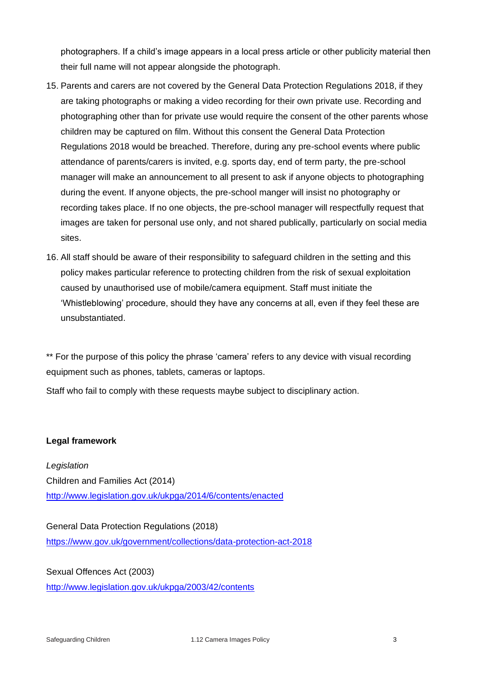photographers. If a child's image appears in a local press article or other publicity material then their full name will not appear alongside the photograph.

- 15. Parents and carers are not covered by the General Data Protection Regulations 2018, if they are taking photographs or making a video recording for their own private use. Recording and photographing other than for private use would require the consent of the other parents whose children may be captured on film. Without this consent the General Data Protection Regulations 2018 would be breached. Therefore, during any pre-school events where public attendance of parents/carers is invited, e.g. sports day, end of term party, the pre-school manager will make an announcement to all present to ask if anyone objects to photographing during the event. If anyone objects, the pre-school manger will insist no photography or recording takes place. If no one objects, the pre-school manager will respectfully request that images are taken for personal use only, and not shared publically, particularly on social media sites.
- 16. All staff should be aware of their responsibility to safeguard children in the setting and this policy makes particular reference to protecting children from the risk of sexual exploitation caused by unauthorised use of mobile/camera equipment. Staff must initiate the 'Whistleblowing' procedure, should they have any concerns at all, even if they feel these are unsubstantiated.

\*\* For the purpose of this policy the phrase 'camera' refers to any device with visual recording equipment such as phones, tablets, cameras or laptops.

Staff who fail to comply with these requests maybe subject to disciplinary action.

#### **Legal framework**

*Legislation* Children and Families Act (2014) <http://www.legislation.gov.uk/ukpga/2014/6/contents/enacted>

General Data Protection Regulations (2018) <https://www.gov.uk/government/collections/data-protection-act-2018>

Sexual Offences Act (2003) <http://www.legislation.gov.uk/ukpga/2003/42/contents>